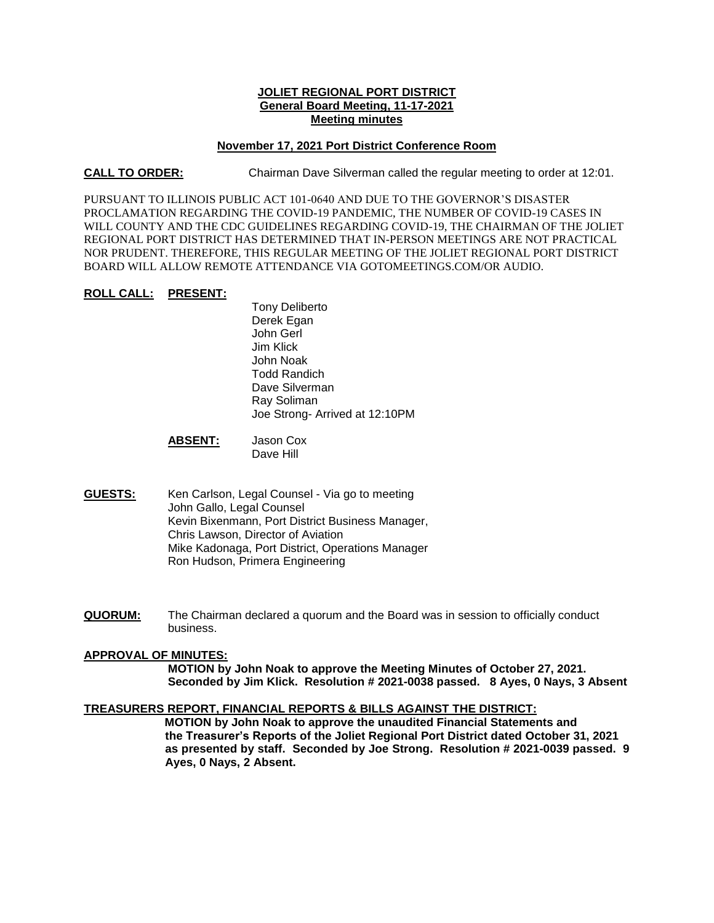# **JOLIET REGIONAL PORT DISTRICT General Board Meeting, 11-17-2021 Meeting minutes**

## **November 17, 2021 Port District Conference Room**

**CALL TO ORDER:** Chairman Dave Silverman called the regular meeting to order at 12:01.

PURSUANT TO ILLINOIS PUBLIC ACT 101-0640 AND DUE TO THE GOVERNOR'S DISASTER PROCLAMATION REGARDING THE COVID-19 PANDEMIC, THE NUMBER OF COVID-19 CASES IN WILL COUNTY AND THE CDC GUIDELINES REGARDING COVID-19, THE CHAIRMAN OF THE JOLIET REGIONAL PORT DISTRICT HAS DETERMINED THAT IN-PERSON MEETINGS ARE NOT PRACTICAL NOR PRUDENT. THEREFORE, THIS REGULAR MEETING OF THE JOLIET REGIONAL PORT DISTRICT BOARD WILL ALLOW REMOTE ATTENDANCE VIA GOTOMEETINGS.COM/OR AUDIO.

## **ROLL CALL: PRESENT:**

Tony Deliberto Derek Egan John Gerl Jim Klick John Noak Todd Randich Dave Silverman Ray Soliman Joe Strong- Arrived at 12:10PM

**ABSENT:** Jason Cox Dave Hill

- **GUESTS:** Ken Carlson, Legal Counsel Via go to meeting John Gallo, Legal Counsel Kevin Bixenmann, Port District Business Manager, Chris Lawson, Director of Aviation Mike Kadonaga, Port District, Operations Manager Ron Hudson, Primera Engineering
- **QUORUM:** The Chairman declared a quorum and the Board was in session to officially conduct business.

# **APPROVAL OF MINUTES:**

**MOTION by John Noak to approve the Meeting Minutes of October 27, 2021. Seconded by Jim Klick. Resolution # 2021-0038 passed. 8 Ayes, 0 Nays, 3 Absent**

# **TREASURERS REPORT, FINANCIAL REPORTS & BILLS AGAINST THE DISTRICT:**

 **MOTION by John Noak to approve the unaudited Financial Statements and the Treasurer's Reports of the Joliet Regional Port District dated October 31, 2021 as presented by staff. Seconded by Joe Strong. Resolution # 2021-0039 passed. 9 Ayes, 0 Nays, 2 Absent.**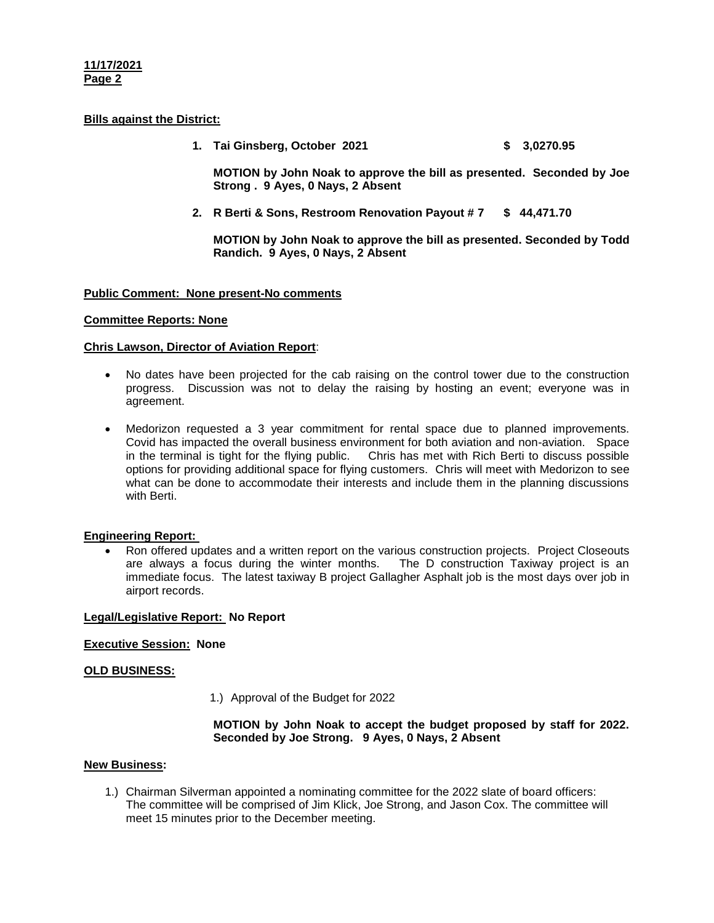## **11/17/2021 Page 2**

# **Bills against the District:**

**1. Tai Ginsberg, October 2021 \$ 3,0270.95**

**MOTION by John Noak to approve the bill as presented. Seconded by Joe Strong . 9 Ayes, 0 Nays, 2 Absent**

**2. R Berti & Sons, Restroom Renovation Payout # 7 \$ 44,471.70**

**MOTION by John Noak to approve the bill as presented. Seconded by Todd Randich. 9 Ayes, 0 Nays, 2 Absent**

## **Public Comment: None present-No comments**

## **Committee Reports: None**

### **Chris Lawson, Director of Aviation Report**:

- No dates have been projected for the cab raising on the control tower due to the construction progress. Discussion was not to delay the raising by hosting an event; everyone was in agreement.
- Medorizon requested a 3 year commitment for rental space due to planned improvements. Covid has impacted the overall business environment for both aviation and non-aviation. Space in the terminal is tight for the flying public. Chris has met with Rich Berti to discuss possible options for providing additional space for flying customers. Chris will meet with Medorizon to see what can be done to accommodate their interests and include them in the planning discussions with Berti.

# **Engineering Report:**

 Ron offered updates and a written report on the various construction projects. Project Closeouts are always a focus during the winter months. The D construction Taxiway project is an immediate focus. The latest taxiway B project Gallagher Asphalt job is the most days over job in airport records.

### **Legal/Legislative Report: No Report**

### **Executive Session: None**

# **OLD BUSINESS:**

1.) Approval of the Budget for 2022

## **MOTION by John Noak to accept the budget proposed by staff for 2022. Seconded by Joe Strong. 9 Ayes, 0 Nays, 2 Absent**

## **New Business:**

1.) Chairman Silverman appointed a nominating committee for the 2022 slate of board officers: The committee will be comprised of Jim Klick, Joe Strong, and Jason Cox. The committee will meet 15 minutes prior to the December meeting.